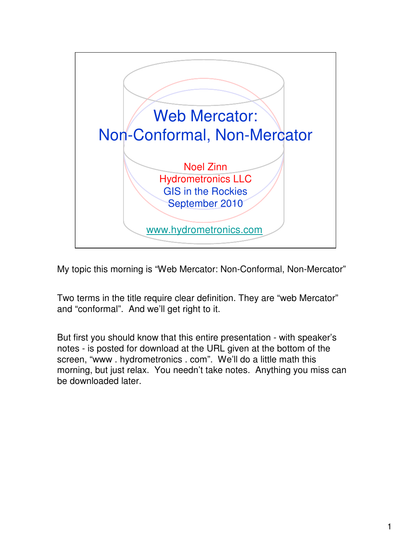

My topic this morning is "Web Mercator: Non-Conformal, Non-Mercator"

Two terms in the title require clear definition. They are "web Mercator" and "conformal". And we'll get right to it.

But first you should know that this entire presentation - with speaker's notes - is posted for download at the URL given at the bottom of the screen, "www . hydrometronics . com". We'll do a little math this morning, but just relax. You needn't take notes. Anything you miss can be downloaded later.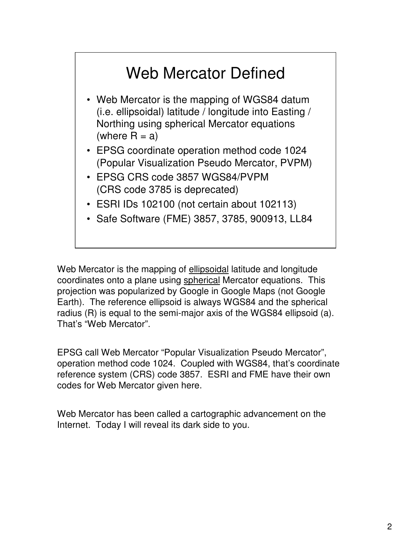## Web Mercator Defined

- Web Mercator is the mapping of WGS84 datum (i.e. ellipsoidal) latitude / longitude into Easting / Northing using spherical Mercator equations (where  $R = a$ )
- EPSG coordinate operation method code 1024 (Popular Visualization Pseudo Mercator, PVPM)
- EPSG CRS code 3857 WGS84/PVPM (CRS code 3785 is deprecated)
- ESRI IDs 102100 (not certain about 102113)
- Safe Software (FME) 3857, 3785, 900913, LL84

Web Mercator is the mapping of ellipsoidal latitude and longitude coordinates onto a plane using spherical Mercator equations. This projection was popularized by Google in Google Maps (not Google Earth). The reference ellipsoid is always WGS84 and the spherical radius (R) is equal to the semi-major axis of the WGS84 ellipsoid (a). That's "Web Mercator".

EPSG call Web Mercator "Popular Visualization Pseudo Mercator", operation method code 1024. Coupled with WGS84, that's coordinate reference system (CRS) code 3857. ESRI and FME have their own codes for Web Mercator given here.

Web Mercator has been called a cartographic advancement on the Internet. Today I will reveal its dark side to you.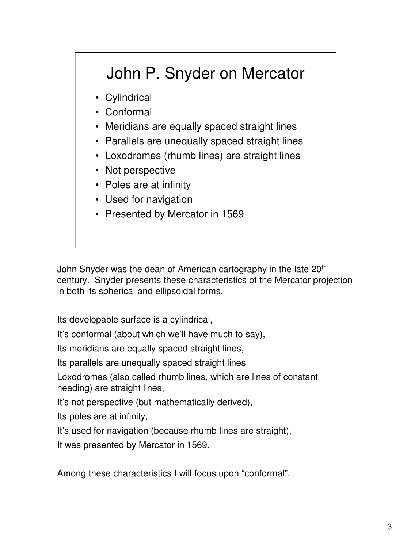# John P. Snyder on Mercator

- Cylindrical
- Conformal
- Meridians are equally spaced straight lines
- Parallels are unequally spaced straight lines
- Loxodromes (rhumb lines) are straight lines
- Not perspective
- Poles are at infinity
- Used for navigation
- Presented by Mercator in 1569

John Snyder was the dean of American cartography in the late 20<sup>th</sup> century. Snyder presents these characteristics of the Mercator projection in both its spherical and ellipsoidal forms.

Its developable surface is a cylindrical,

It's conformal (about which we'll have much to say),

Its meridians are equally spaced straight lines,

Its parallels are unequally spaced straight lines

Loxodromes (also called rhumb lines, which are lines of constant heading) are straight lines,

It's not perspective (but mathematically derived),

Its poles are at infinity,

It's used for navigation (because rhumb lines are straight),

It was presented by Mercator in 1569.

Among these characteristics I will focus upon "conformal".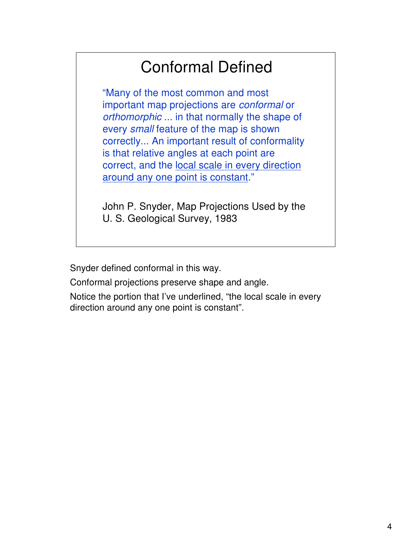### Conformal Defined

"Many of the most common and most important map projections are conformal or orthomorphic ... in that normally the shape of every small feature of the map is shown correctly... An important result of conformality is that relative angles at each point are correct, and the local scale in every direction around any one point is constant."

John P. Snyder, Map Projections Used by the U. S. Geological Survey, 1983

Snyder defined conformal in this way.

Conformal projections preserve shape and angle.

Notice the portion that I've underlined, "the local scale in every direction around any one point is constant".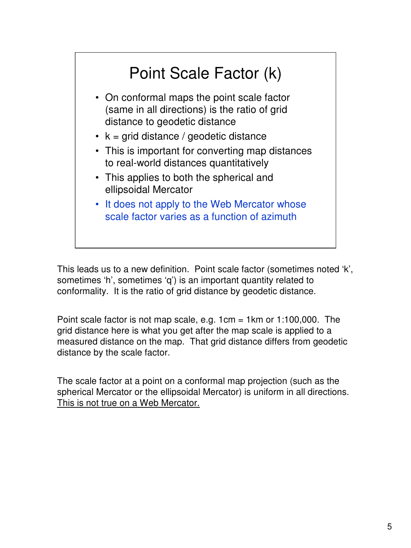

This leads us to a new definition. Point scale factor (sometimes noted 'k', sometimes 'h', sometimes 'q') is an important quantity related to conformality. It is the ratio of grid distance by geodetic distance.

Point scale factor is not map scale, e.g.  $1 \text{cm} = 1 \text{km}$  or  $1:100,000$ . The grid distance here is what you get after the map scale is applied to a measured distance on the map. That grid distance differs from geodetic distance by the scale factor.

The scale factor at a point on a conformal map projection (such as the spherical Mercator or the ellipsoidal Mercator) is uniform in all directions. This is not true on a Web Mercator.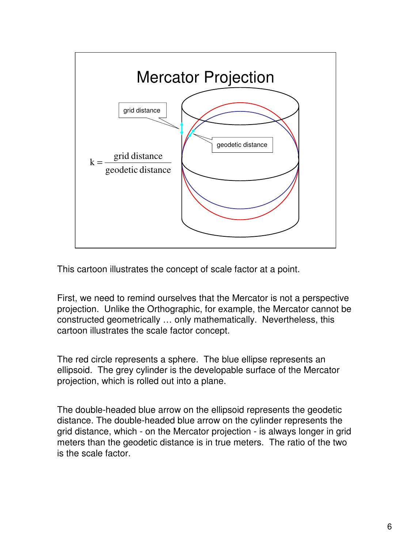

This cartoon illustrates the concept of scale factor at a point.

First, we need to remind ourselves that the Mercator is not a perspective projection. Unlike the Orthographic, for example, the Mercator cannot be constructed geometrically … only mathematically. Nevertheless, this cartoon illustrates the scale factor concept.

The red circle represents a sphere. The blue ellipse represents an ellipsoid. The grey cylinder is the developable surface of the Mercator projection, which is rolled out into a plane.

The double-headed blue arrow on the ellipsoid represents the geodetic distance. The double-headed blue arrow on the cylinder represents the grid distance, which - on the Mercator projection - is always longer in grid meters than the geodetic distance is in true meters. The ratio of the two is the scale factor.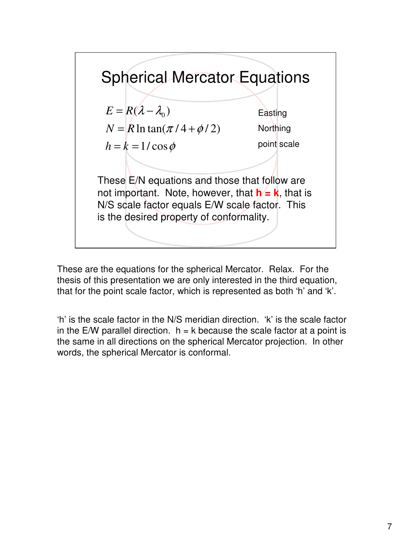

These are the equations for the spherical Mercator. Relax. For the thesis of this presentation we are only interested in the third equation, that for the point scale factor, which is represented as both 'h' and 'k'.

'h' is the scale factor in the N/S meridian direction. 'k' is the scale factor in the E/W parallel direction.  $h = k$  because the scale factor at a point is the same in all directions on the spherical Mercator projection. In other words, the spherical Mercator is conformal.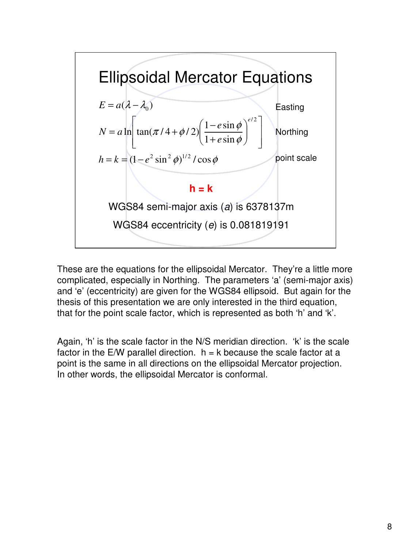

These are the equations for the ellipsoidal Mercator. They're a little more complicated, especially in Northing. The parameters 'a' (semi-major axis) and 'e' (eccentricity) are given for the WGS84 ellipsoid. But again for the thesis of this presentation we are only interested in the third equation, that for the point scale factor, which is represented as both 'h' and 'k'.

Again, 'h' is the scale factor in the N/S meridian direction. 'k' is the scale factor in the E/W parallel direction.  $h = k$  because the scale factor at a point is the same in all directions on the ellipsoidal Mercator projection. In other words, the ellipsoidal Mercator is conformal.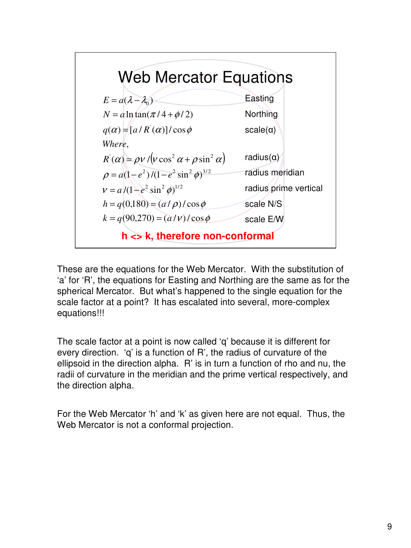

These are the equations for the Web Mercator. With the substitution of 'a' for 'R', the equations for Easting and Northing are the same as for the spherical Mercator. But what's happened to the single equation for the scale factor at a point? It has escalated into several, more-complex equations!!!

The scale factor at a point is now called 'q' because it is different for every direction. 'q' is a function of R', the radius of curvature of the ellipsoid in the direction alpha. R' is in turn a function of rho and nu, the radii of curvature in the meridian and the prime vertical respectively, and the direction alpha.

For the Web Mercator 'h' and 'k' as given here are not equal. Thus, the Web Mercator is not a conformal projection.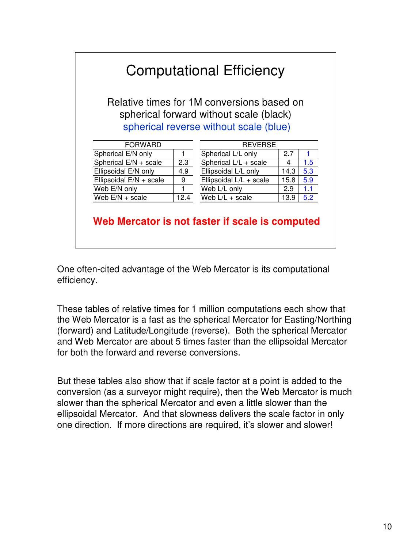### Computational Efficiency

Relative times for 1M conversions based on spherical forward without scale (black) spherical reverse without scale (blue)

| FORWARD                 |     |
|-------------------------|-----|
| Spherical E/N only      |     |
| Spherical E/N + scale   | 2.3 |
| Ellipsoidal E/N only    | g   |
| Ellipsoidal E/N + scale | 9   |
| Web E/N only            |     |
| Web $E/N + scale$       | ،12 |

| <b>FORWARD</b>          |      | <b>REVERSE</b>          |      |     |  |
|-------------------------|------|-------------------------|------|-----|--|
| Spherical E/N only      |      | Spherical L/L only      | 2.7  |     |  |
| Spherical E/N + scale   | 2.3  | Spherical L/L + scale   | 4    | 1.5 |  |
| Ellipsoidal E/N only    | 4.9  | Ellipsoidal L/L only    | 14.3 | 5.3 |  |
| Ellipsoidal E/N + scale | 9    | Ellipsoidal L/L + scale | 15.8 | 5.9 |  |
| Web E/N only            |      | Web L/L only            | 2.9  | 1.1 |  |
| Web E/N + scale         | 12.4 | Web $L/L + scale$       | 13.9 | 5.2 |  |

#### **Web Mercator is not faster if scale is computed**

One often-cited advantage of the Web Mercator is its computational efficiency.

These tables of relative times for 1 million computations each show that the Web Mercator is a fast as the spherical Mercator for Easting/Northing (forward) and Latitude/Longitude (reverse). Both the spherical Mercator and Web Mercator are about 5 times faster than the ellipsoidal Mercator for both the forward and reverse conversions.

But these tables also show that if scale factor at a point is added to the conversion (as a surveyor might require), then the Web Mercator is much slower than the spherical Mercator and even a little slower than the ellipsoidal Mercator. And that slowness delivers the scale factor in only one direction. If more directions are required, it's slower and slower!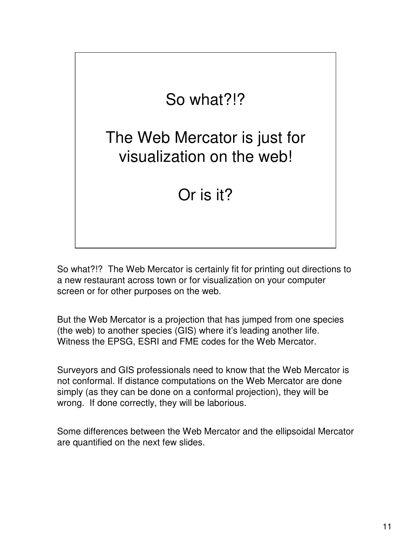

So what?!? The Web Mercator is certainly fit for printing out directions to a new restaurant across town or for visualization on your computer screen or for other purposes on the web.

But the Web Mercator is a projection that has jumped from one species (the web) to another species (GIS) where it's leading another life. Witness the EPSG, ESRI and FME codes for the Web Mercator.

Surveyors and GIS professionals need to know that the Web Mercator is not conformal. If distance computations on the Web Mercator are done simply (as they can be done on a conformal projection), they will be wrong. If done correctly, they will be laborious.

Some differences between the Web Mercator and the ellipsoidal Mercator are quantified on the next few slides.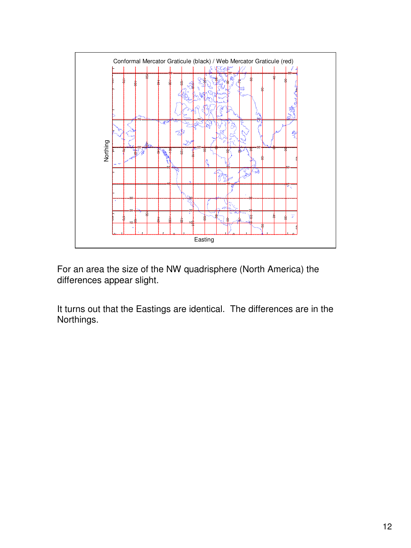

For an area the size of the NW quadrisphere (North America) the differences appear slight.

It turns out that the Eastings are identical. The differences are in the Northings.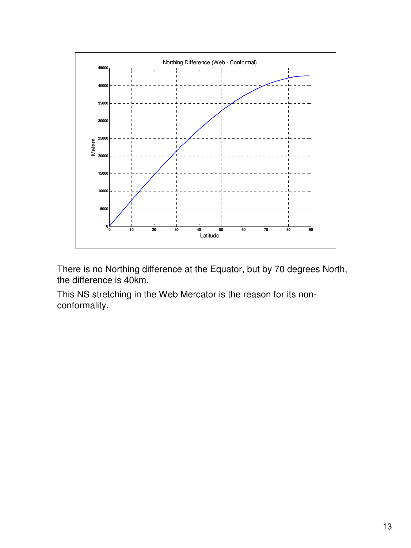

There is no Northing difference at the Equator, but by 70 degrees North, the difference is 40km.

This NS stretching in the Web Mercator is the reason for its nonconformality.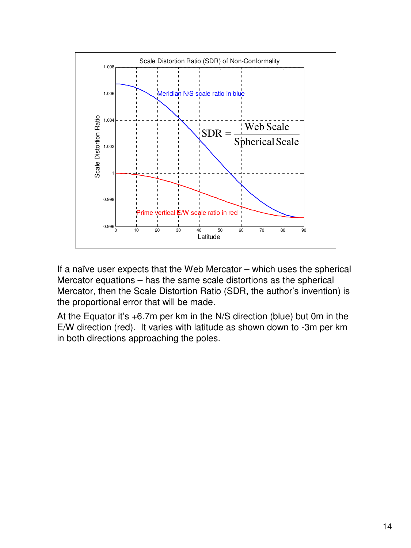

If a naïve user expects that the Web Mercator – which uses the spherical Mercator equations – has the same scale distortions as the spherical Mercator, then the Scale Distortion Ratio (SDR, the author's invention) is the proportional error that will be made.

At the Equator it's +6.7m per km in the N/S direction (blue) but 0m in the E/W direction (red). It varies with latitude as shown down to -3m per km in both directions approaching the poles.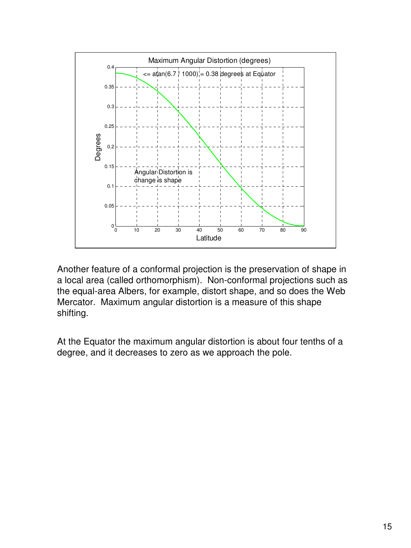

Another feature of a conformal projection is the preservation of shape in a local area (called orthomorphism). Non-conformal projections such as the equal-area Albers, for example, distort shape, and so does the Web Mercator. Maximum angular distortion is a measure of this shape shifting.

At the Equator the maximum angular distortion is about four tenths of a degree, and it decreases to zero as we approach the pole.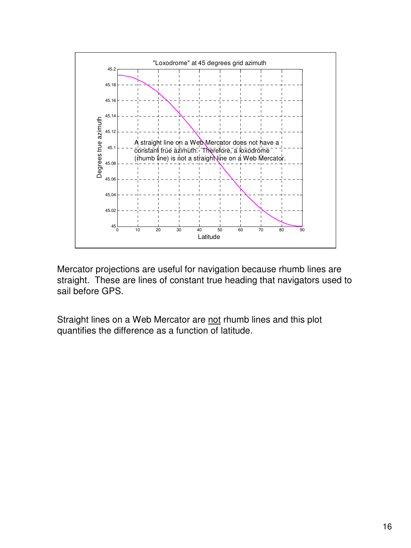

Mercator projections are useful for navigation because rhumb lines are straight. These are lines of constant true heading that navigators used to sail before GPS.

Straight lines on a Web Mercator are not rhumb lines and this plot quantifies the difference as a function of latitude.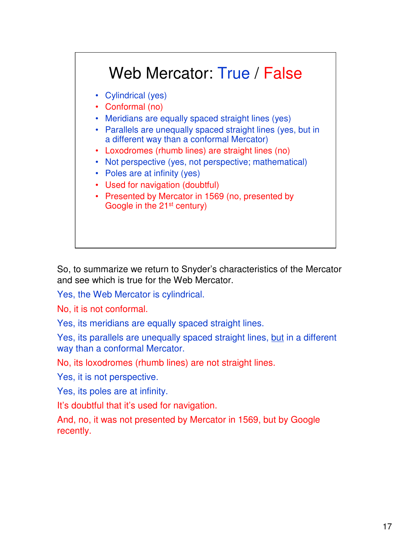

So, to summarize we return to Snyder's characteristics of the Mercator and see which is true for the Web Mercator.

Yes, the Web Mercator is cylindrical.

No, it is not conformal.

Yes, its meridians are equally spaced straight lines.

Yes, its parallels are unequally spaced straight lines, but in a different way than a conformal Mercator.

No, its loxodromes (rhumb lines) are not straight lines.

Yes, it is not perspective.

Yes, its poles are at infinity.

It's doubtful that it's used for navigation.

And, no, it was not presented by Mercator in 1569, but by Google recently.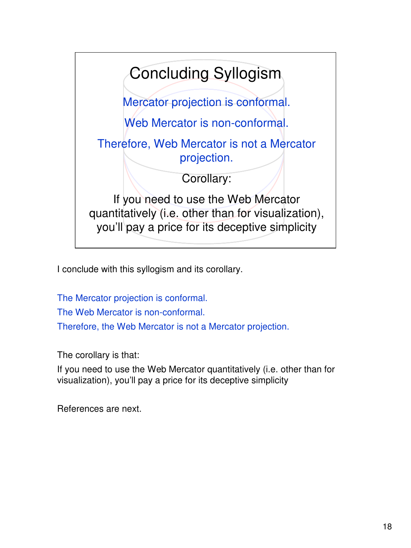

I conclude with this syllogism and its corollary.

The Mercator projection is conformal. The Web Mercator is non-conformal. Therefore, the Web Mercator is not a Mercator projection.

The corollary is that:

If you need to use the Web Mercator quantitatively (i.e. other than for visualization), you'll pay a price for its deceptive simplicity

References are next.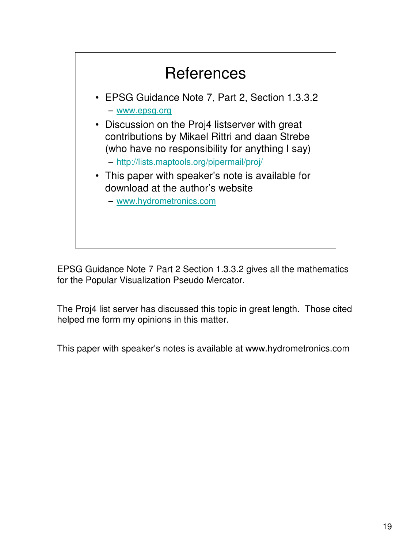

EPSG Guidance Note 7 Part 2 Section 1.3.3.2 gives all the mathematics for the Popular Visualization Pseudo Mercator.

The Proj4 list server has discussed this topic in great length. Those cited helped me form my opinions in this matter.

This paper with speaker's notes is available at www.hydrometronics.com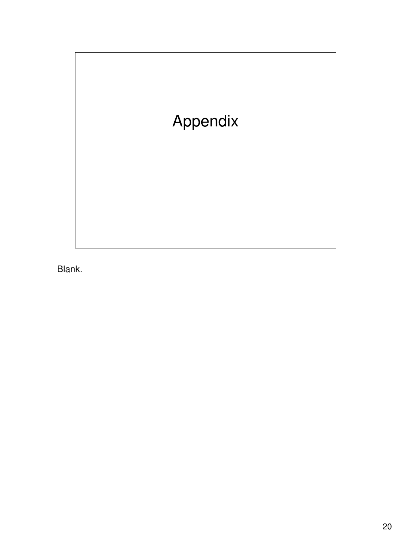

Blank.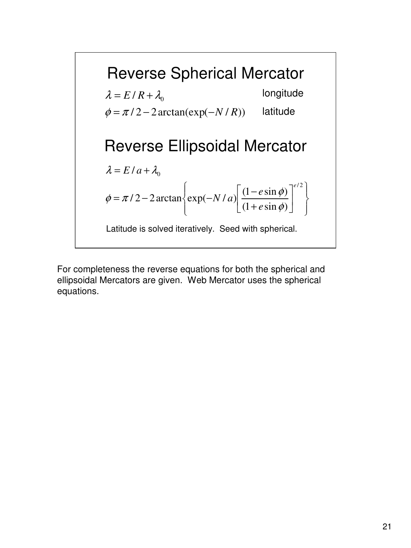

For completeness the reverse equations for both the spherical and ellipsoidal Mercators are given. Web Mercator uses the spherical equations.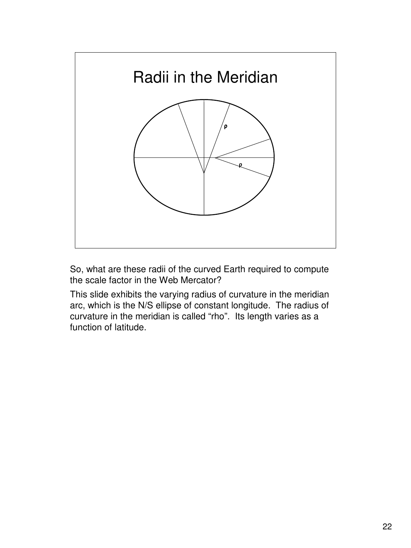

So, what are these radii of the curved Earth required to compute the scale factor in the Web Mercator?

This slide exhibits the varying radius of curvature in the meridian arc, which is the N/S ellipse of constant longitude. The radius of curvature in the meridian is called "rho". Its length varies as a function of latitude.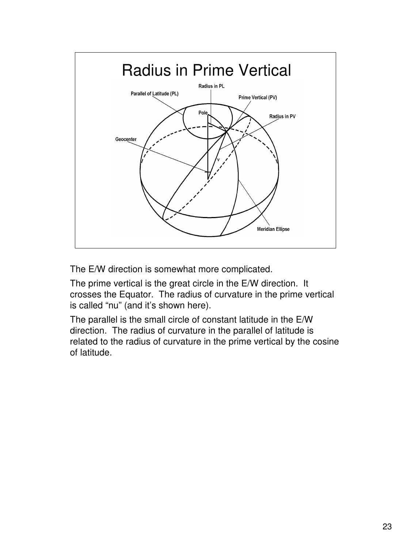

The E/W direction is somewhat more complicated.

The prime vertical is the great circle in the E/W direction. It crosses the Equator. The radius of curvature in the prime vertical is called "nu" (and it's shown here).

The parallel is the small circle of constant latitude in the E/W direction. The radius of curvature in the parallel of latitude is related to the radius of curvature in the prime vertical by the cosine of latitude.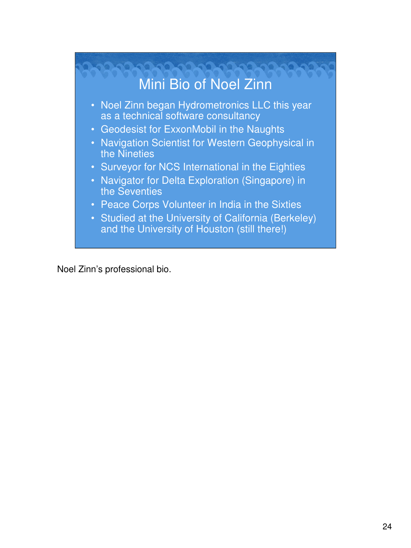

Noel Zinn's professional bio.